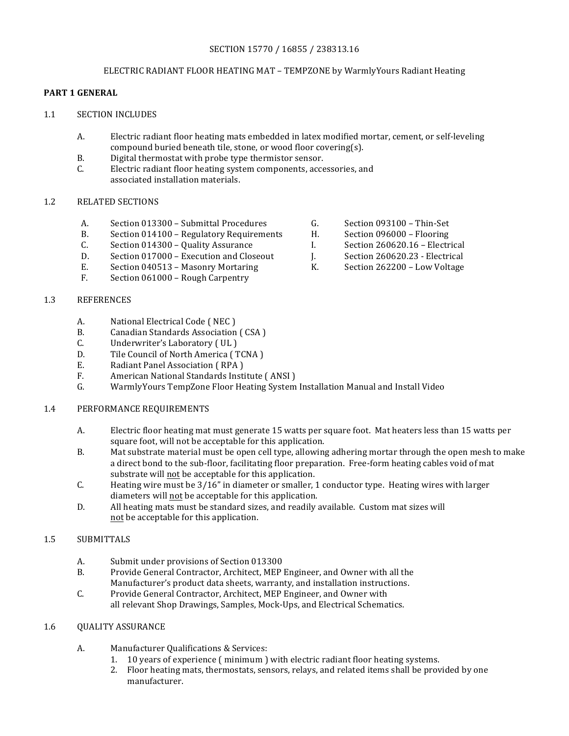## SECTION 15770 / 16855 / 238313.16

#### ELECTRIC RADIANT FLOOR HEATING MAT - TEMPZONE by WarmlyYours Radiant Heating

# **PART 1 GENERAL**

- 1.1 SECTION INCLUDES
	- A. Electric radiant floor heating mats embedded in latex modified mortar, cement, or self-leveling compound buried beneath tile, stone, or wood floor covering(s).
	- B. Digital thermostat with probe type thermistor sensor.
	- C. Electric radiant floor heating system components, accessories, and associated installation materials.

## 1.2 RELATED SECTIONS

- A. Section 013300 Submittal Procedures G. Section 093100 Thin-Set
- B. Section 014100 Regulatory Requirements H. Section 096000 Flooring<br>C. Section 014300 Quality Assurance I. Section 260620.16 Electrical
- C. Section 014300 Quality Assurance I.
- D. Section 017000 Execution and Closeout J. Section 260620.23 Electrical
- E. Section 040513 Masonry Mortaring K. Section 262200 Low Voltage
- F. Section 061000 Rough Carpentry
- 1.3 REFERENCES
	- A. National Electrical Code (NEC)
	- B. Canadian Standards Association (CSA)
	- C. Underwriter's Laboratory (UL)
	- D. Tile Council of North America (TCNA)
	- E. Radiant Panel Association (RPA)
	- F. American National Standards Institute (ANSI)
	- G. WarmlyYours TempZone Floor Heating System Installation Manual and Install Video

#### 1.4 PERFORMANCE REQUIREMENTS

- A. Electric floor heating mat must generate 15 watts per square foot. Mat heaters less than 15 watts per square foot, will not be acceptable for this application.
- B. Mat substrate material must be open cell type, allowing adhering mortar through the open mesh to make a direct bond to the sub-floor, facilitating floor preparation. Free-form heating cables void of mat substrate will not be acceptable for this application.
- C. Heating wire must be 3/16" in diameter or smaller, 1 conductor type. Heating wires with larger diameters will not be acceptable for this application.
- D. All heating mats must be standard sizes, and readily available. Custom mat sizes will not be acceptable for this application.

# 1.5 SUBMITTALS

- A. Submit under provisions of Section 013300
- B. Provide General Contractor, Architect, MEP Engineer, and Owner with all the Manufacturer's product data sheets, warranty, and installation instructions.
- C. Provide General Contractor, Architect, MEP Engineer, and Owner with all relevant Shop Drawings, Samples, Mock-Ups, and Electrical Schematics.

#### 1.6 OUALITY ASSURANCE

- A. Manufacturer Qualifications & Services:
	- 1. 10 years of experience (minimum ) with electric radiant floor heating systems.
	- 2. Floor heating mats, thermostats, sensors, relays, and related items shall be provided by one manufacturer.
- 
- 
- 
- 
-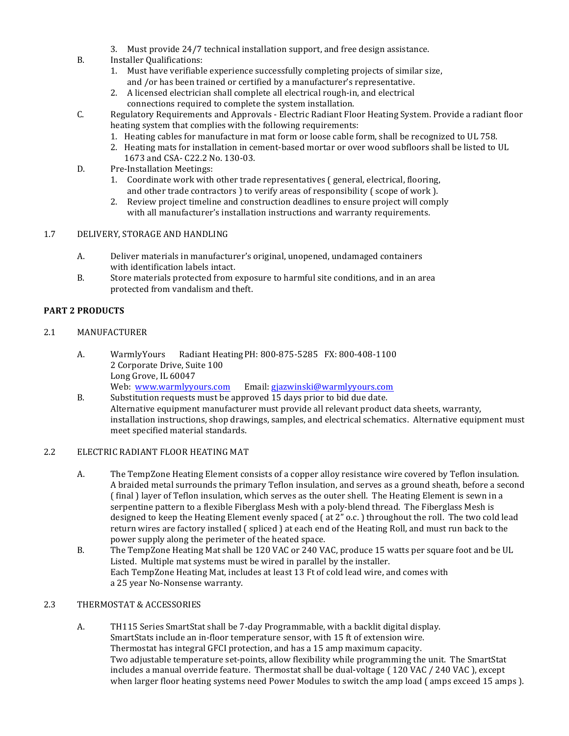- 3. Must provide 24/7 technical installation support, and free design assistance.
- B. Installer Qualifications:
	- 1. Must have verifiable experience successfully completing projects of similar size, and /or has been trained or certified by a manufacturer's representative.
	- 2. A licensed electrician shall complete all electrical rough-in, and electrical connections required to complete the system installation.
- C. Regulatory Requirements and Approvals Electric Radiant Floor Heating System. Provide a radiant floor heating system that complies with the following requirements:
	- 1. Heating cables for manufacture in mat form or loose cable form, shall be recognized to UL 758.
	- 2. Heating mats for installation in cement-based mortar or over wood subfloors shall be listed to UL 1673 and CSA- C22.2 No. 130-03.
- D. Pre-Installation Meetings:
	- 1. Coordinate work with other trade representatives ( general, electrical, flooring, and other trade contractors ) to verify areas of responsibility (scope of work ).
	- 2. Review project timeline and construction deadlines to ensure project will comply with all manufacturer's installation instructions and warranty requirements.

## 1.7 DELIVERY, STORAGE AND HANDLING

- A. Deliver materials in manufacturer's original, unopened, undamaged containers with identification labels intact.
- B. Store materials protected from exposure to harmful site conditions, and in an area protected from vandalism and theft.

## **PART 2 PRODUCTS**

## 2.1 MANUFACTURER

- A. WarmlyYours Radiant Heating PH: 800-875-5285 FX: 800-408-1100 2 Corporate Drive, Suite 100 Long Grove, IL 60047 Web: www.warmlyyours.com Email: gjazwinski@warmlyyours.com
- B. Substitution requests must be approved 15 days prior to bid due date. Alternative equipment manufacturer must provide all relevant product data sheets, warranty, installation instructions, shop drawings, samples, and electrical schematics. Alternative equipment must meet specified material standards.

#### 2.2 ELECTRIC RADIANT FLOOR HEATING MAT

- A. The TempZone Heating Element consists of a copper alloy resistance wire covered by Teflon insulation. A braided metal surrounds the primary Teflon insulation, and serves as a ground sheath, before a second (final) layer of Teflon insulation, which serves as the outer shell. The Heating Element is sewn in a serpentine pattern to a flexible Fiberglass Mesh with a poly-blend thread. The Fiberglass Mesh is designed to keep the Heating Element evenly spaced  $($  at  $2"$  o.c.  $)$  throughout the roll. The two cold lead return wires are factory installed (spliced) at each end of the Heating Roll, and must run back to the power supply along the perimeter of the heated space.
- B. The TempZone Heating Mat shall be 120 VAC or 240 VAC, produce 15 watts per square foot and be UL Listed. Multiple mat systems must be wired in parallel by the installer. Each TempZone Heating Mat, includes at least 13 Ft of cold lead wire, and comes with a 25 year No-Nonsense warranty.

## 2.3 THERMOSTAT & ACCESSORIES

A. TH115 Series SmartStat shall be 7-day Programmable, with a backlit digital display. SmartStats include an in-floor temperature sensor, with 15 ft of extension wire. Thermostat has integral GFCI protection, and has a 15 amp maximum capacity. Two adjustable temperature set-points, allow flexibility while programming the unit. The SmartStat includes a manual override feature. Thermostat shall be dual-voltage (120 VAC / 240 VAC), except when larger floor heating systems need Power Modules to switch the amp load (amps exceed 15 amps).